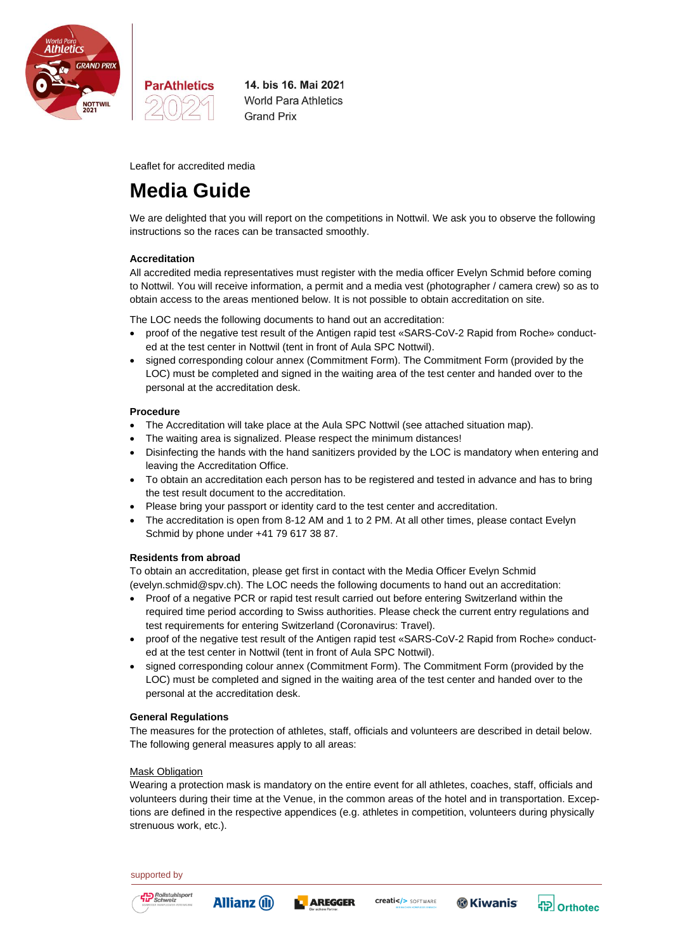

14. bis 16. Mai 2021 **World Para Athletics Grand Prix** 

Leaflet for accredited media

**ParAthletics** 

# **Media Guide**

We are delighted that you will report on the competitions in Nottwil. We ask you to observe the following instructions so the races can be transacted smoothly.

# **Accreditation**

All accredited media representatives must register with the media officer Evelyn Schmid before coming to Nottwil. You will receive information, a permit and a media vest (photographer / camera crew) so as to obtain access to the areas mentioned below. It is not possible to obtain accreditation on site.

The LOC needs the following documents to hand out an accreditation:

- proof of the negative test result of the Antigen rapid test «SARS-CoV-2 Rapid from Roche» conducted at the test center in Nottwil (tent in front of Aula SPC Nottwil).
- signed corresponding colour annex (Commitment Form). The Commitment Form (provided by the LOC) must be completed and signed in the waiting area of the test center and handed over to the personal at the accreditation desk.

## **Procedure**

- The Accreditation will take place at the Aula SPC Nottwil (see attached situation map).
- The waiting area is signalized. Please respect the minimum distances!
- Disinfecting the hands with the hand sanitizers provided by the LOC is mandatory when entering and leaving the Accreditation Office.
- To obtain an accreditation each person has to be registered and tested in advance and has to bring the test result document to the accreditation.
- Please bring your passport or identity card to the test center and accreditation.
- The accreditation is open from 8-12 AM and 1 to 2 PM. At all other times, please contact Evelyn Schmid by phone under +41 79 617 38 87.

# **Residents from abroad**

To obtain an accreditation, please get first in contact with the Media Officer Evelyn Schmid [\(evelyn.schmid@spv.ch\)](mailto:evelyn.schmid@spv.ch). The LOC needs the following documents to hand out an accreditation:

- Proof of a negative PCR or rapid test result carried out before entering Switzerland within the required time period according to Swiss authorities. Please check the current entry regulations and test requirements for entering Switzerland [\(Coronavirus: Travel\)](https://www.bag.admin.ch/bag/en/home/krankheiten/ausbrueche-epidemien-pandemien/aktuelle-ausbrueche-epidemien/novel-cov/empfehlungen-fuer-reisende.html).
- proof of the negative test result of the Antigen rapid test «SARS-CoV-2 Rapid from Roche» conducted at the test center in Nottwil (tent in front of Aula SPC Nottwil).
- signed corresponding colour annex (Commitment Form). The Commitment Form (provided by the LOC) must be completed and signed in the waiting area of the test center and handed over to the personal at the accreditation desk.

## **General Regulations**

The measures for the protection of athletes, staff, officials and volunteers are described in detail below. The following general measures apply to all areas:

## Mask Obligation

Wearing a protection mask is mandatory on the entire event for all athletes, coaches, staff, officials and volunteers during their time at the Venue, in the common areas of the hotel and in transportation. Exceptions are defined in the respective appendices (e.g. athletes in competition, volunteers during physically strenuous work, etc.).

## supported by











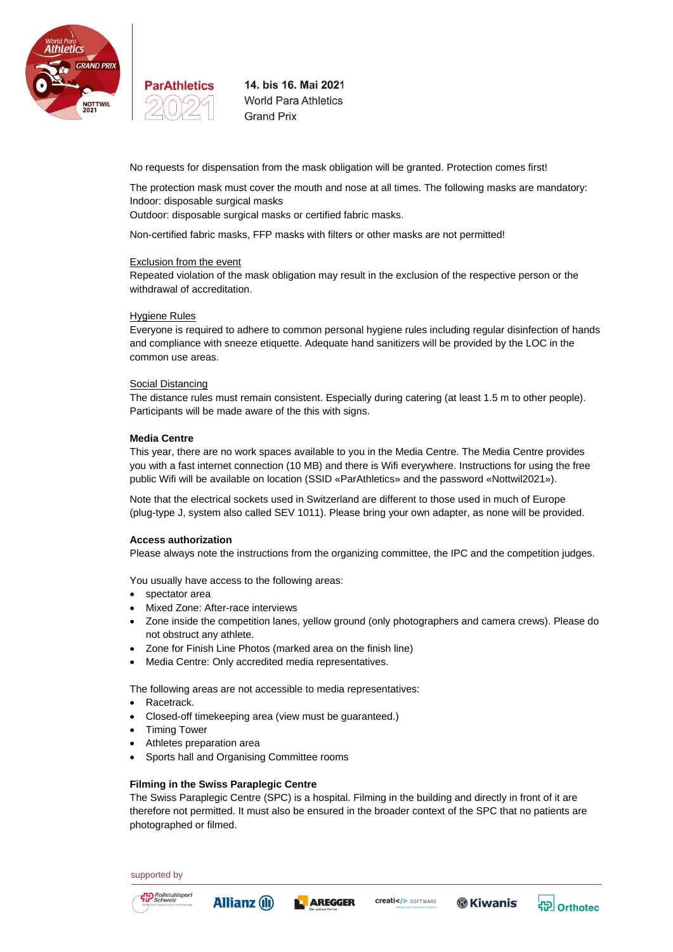



14. bis 16. Mai 2021 **World Para Athletics Grand Prix** 

No requests for dispensation from the mask obligation will be granted. Protection comes first!

The protection mask must cover the mouth and nose at all times. The following masks are mandatory: Indoor: disposable surgical masks

Outdoor: disposable surgical masks or certified fabric masks.

Non-certified fabric masks, FFP masks with filters or other masks are not permitted!

#### Exclusion from the event

Repeated violation of the mask obligation may result in the exclusion of the respective person or the withdrawal of accreditation.

# Hygiene Rules

Everyone is required to adhere to common personal hygiene rules including regular disinfection of hands and compliance with sneeze etiquette. Adequate hand sanitizers will be provided by the LOC in the common use areas.

#### Social Distancing

The distance rules must remain consistent. Especially during catering (at least 1.5 m to other people). Participants will be made aware of the this with signs.

## **Media Centre**

This year, there are no work spaces available to you in the Media Centre. The Media Centre provides you with a fast internet connection (10 MB) and there is Wifi everywhere. Instructions for using the free public Wifi will be available on location (SSID «ParAthletics» and the password «Nottwil2021»).

Note that the electrical sockets used in Switzerland are different to those used in much of Europe (plug-type J, system also called SEV 1011). Please bring your own adapter, as none will be provided.

#### **Access authorization**

Please always note the instructions from the organizing committee, the IPC and the competition judges.

You usually have access to the following areas:

- spectator area
- Mixed Zone: After-race interviews
- Zone inside the competition lanes, yellow ground (only photographers and camera crews). Please do not obstruct any athlete.
- Zone for Finish Line Photos (marked area on the finish line)
- Media Centre: Only accredited media representatives.

The following areas are not accessible to media representatives:

- Racetrack.
- Closed-off timekeeping area (view must be guaranteed.)
- Timing Tower
- Athletes preparation area
- Sports hall and Organising Committee rooms

## **Filming in the Swiss Paraplegic Centre**

The Swiss Paraplegic Centre (SPC) is a hospital. Filming in the building and directly in front of it are therefore not permitted. It must also be ensured in the broader context of the SPC that no patients are photographed or filmed.

supported by



**L** AREGGER **Allianz** (ii)